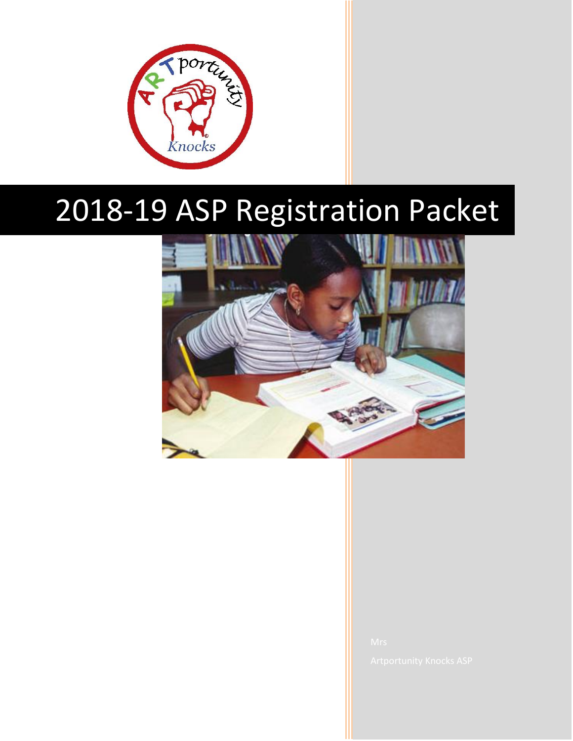

# 2018-19 ASP Registration Packet

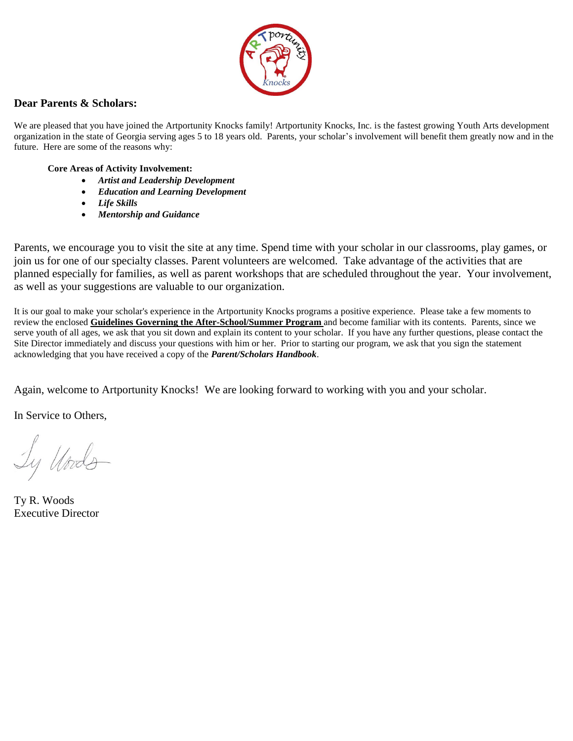

# **Dear Parents & Scholars:**

We are pleased that you have joined the Artportunity Knocks family! Artportunity Knocks, Inc. is the fastest growing Youth Arts development organization in the state of Georgia serving ages 5 to 18 years old. Parents, your scholar's involvement will benefit them greatly now and in the future. Here are some of the reasons why:

## **Core Areas of Activity Involvement:**

- *Artist and Leadership Development*
- *Education and Learning Development*
- *Life Skills*
- *Mentorship and Guidance*

Parents, we encourage you to visit the site at any time. Spend time with your scholar in our classrooms, play games, or join us for one of our specialty classes. Parent volunteers are welcomed. Take advantage of the activities that are planned especially for families, as well as parent workshops that are scheduled throughout the year. Your involvement, as well as your suggestions are valuable to our organization.

It is our goal to make your scholar's experience in the Artportunity Knocks programs a positive experience. Please take a few moments to review the enclosed **Guidelines Governing the After-School/Summer Program** and become familiar with its contents. Parents, since we serve youth of all ages, we ask that you sit down and explain its content to your scholar. If you have any further questions, please contact the Site Director immediately and discuss your questions with him or her. Prior to starting our program, we ask that you sign the statement acknowledging that you have received a copy of the *Parent/Scholars Handbook*.

Again, welcome to Artportunity Knocks! We are looking forward to working with you and your scholar.

In Service to Others,

Ly Under

Ty R. Woods Executive Director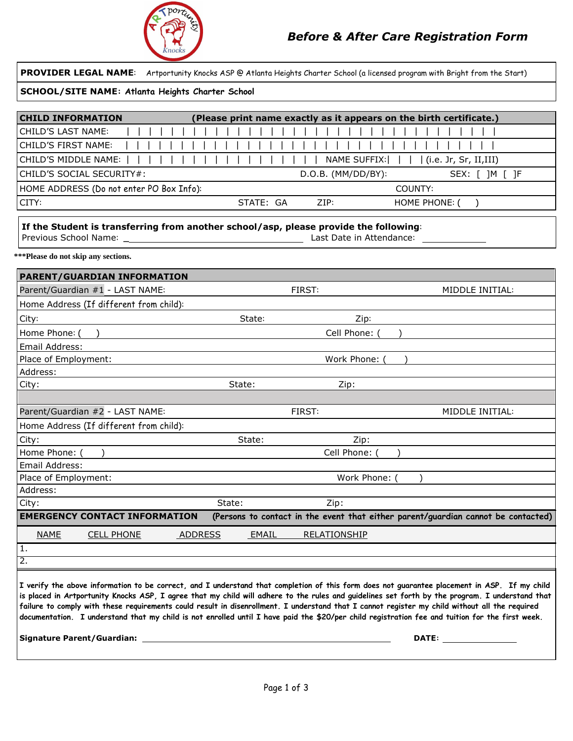![](_page_2_Picture_0.jpeg)

| PROVIDER LEGAL NAME: Artportunity Knocks ASP @ Atlanta Heights Charter School (a licensed program with Bright from the Start)                                                                                                                                                                                                                                                                                                                                                                                                                                                                        |                                                                                   |                                                                                                                                                                                                                                |  |  |  |  |
|------------------------------------------------------------------------------------------------------------------------------------------------------------------------------------------------------------------------------------------------------------------------------------------------------------------------------------------------------------------------------------------------------------------------------------------------------------------------------------------------------------------------------------------------------------------------------------------------------|-----------------------------------------------------------------------------------|--------------------------------------------------------------------------------------------------------------------------------------------------------------------------------------------------------------------------------|--|--|--|--|
| SCHOOL/SITE NAME: Atlanta Heights Charter School                                                                                                                                                                                                                                                                                                                                                                                                                                                                                                                                                     |                                                                                   |                                                                                                                                                                                                                                |  |  |  |  |
| <b>CHILD INFORMATION</b><br>(Please print name exactly as it appears on the birth certificate.)                                                                                                                                                                                                                                                                                                                                                                                                                                                                                                      |                                                                                   |                                                                                                                                                                                                                                |  |  |  |  |
| <b>CHILD'S LAST NAME:</b>                                                                                                                                                                                                                                                                                                                                                                                                                                                                                                                                                                            |                                                                                   |                                                                                                                                                                                                                                |  |  |  |  |
| <b>CHILD'S FIRST NAME:</b>                                                                                                                                                                                                                                                                                                                                                                                                                                                                                                                                                                           |                                                                                   |                                                                                                                                                                                                                                |  |  |  |  |
| CHILD'S MIDDLE NAME:                                                                                                                                                                                                                                                                                                                                                                                                                                                                                                                                                                                 | <b>NAME SUFFIX:</b>                                                               | (i.e. Jr, Sr, II,III)                                                                                                                                                                                                          |  |  |  |  |
| CHILD'S SOCIAL SECURITY#:                                                                                                                                                                                                                                                                                                                                                                                                                                                                                                                                                                            | D.O.B. (MM/DD/BY):                                                                | SEX: [ ]M [ ]F                                                                                                                                                                                                                 |  |  |  |  |
| HOME ADDRESS (Do not enter PO Box Info):                                                                                                                                                                                                                                                                                                                                                                                                                                                                                                                                                             |                                                                                   | COUNTY:                                                                                                                                                                                                                        |  |  |  |  |
| CITY:                                                                                                                                                                                                                                                                                                                                                                                                                                                                                                                                                                                                | STATE: GA<br>ZIP:                                                                 | HOME PHONE: (                                                                                                                                                                                                                  |  |  |  |  |
|                                                                                                                                                                                                                                                                                                                                                                                                                                                                                                                                                                                                      |                                                                                   | $\lambda$                                                                                                                                                                                                                      |  |  |  |  |
| If the Student is transferring from another school/asp, please provide the following:<br>Last Date in Attendance:                                                                                                                                                                                                                                                                                                                                                                                                                                                                                    |                                                                                   |                                                                                                                                                                                                                                |  |  |  |  |
| ***Please do not skip any sections.                                                                                                                                                                                                                                                                                                                                                                                                                                                                                                                                                                  |                                                                                   |                                                                                                                                                                                                                                |  |  |  |  |
| <b>PARENT/GUARDIAN INFORMATION</b>                                                                                                                                                                                                                                                                                                                                                                                                                                                                                                                                                                   |                                                                                   |                                                                                                                                                                                                                                |  |  |  |  |
| Parent/Guardian #1 - LAST NAME:                                                                                                                                                                                                                                                                                                                                                                                                                                                                                                                                                                      | <b>FIRST:</b>                                                                     | MIDDLE INITIAL:                                                                                                                                                                                                                |  |  |  |  |
| Home Address (If different from child):                                                                                                                                                                                                                                                                                                                                                                                                                                                                                                                                                              |                                                                                   |                                                                                                                                                                                                                                |  |  |  |  |
| City:                                                                                                                                                                                                                                                                                                                                                                                                                                                                                                                                                                                                | State:<br>Zip:                                                                    |                                                                                                                                                                                                                                |  |  |  |  |
| Home Phone: (                                                                                                                                                                                                                                                                                                                                                                                                                                                                                                                                                                                        | Cell Phone: (                                                                     |                                                                                                                                                                                                                                |  |  |  |  |
| Email Address:                                                                                                                                                                                                                                                                                                                                                                                                                                                                                                                                                                                       |                                                                                   |                                                                                                                                                                                                                                |  |  |  |  |
| Place of Employment:                                                                                                                                                                                                                                                                                                                                                                                                                                                                                                                                                                                 | Work Phone: (                                                                     |                                                                                                                                                                                                                                |  |  |  |  |
| Address:                                                                                                                                                                                                                                                                                                                                                                                                                                                                                                                                                                                             |                                                                                   |                                                                                                                                                                                                                                |  |  |  |  |
| City:                                                                                                                                                                                                                                                                                                                                                                                                                                                                                                                                                                                                | State:<br>Zip:                                                                    |                                                                                                                                                                                                                                |  |  |  |  |
|                                                                                                                                                                                                                                                                                                                                                                                                                                                                                                                                                                                                      |                                                                                   |                                                                                                                                                                                                                                |  |  |  |  |
| Parent/Guardian #2 - LAST NAME:                                                                                                                                                                                                                                                                                                                                                                                                                                                                                                                                                                      | <b>FIRST:</b>                                                                     | MIDDLE INITIAL:                                                                                                                                                                                                                |  |  |  |  |
| Home Address (If different from child):                                                                                                                                                                                                                                                                                                                                                                                                                                                                                                                                                              |                                                                                   |                                                                                                                                                                                                                                |  |  |  |  |
| City:                                                                                                                                                                                                                                                                                                                                                                                                                                                                                                                                                                                                | Zip:<br>State:                                                                    |                                                                                                                                                                                                                                |  |  |  |  |
| Home Phone: (                                                                                                                                                                                                                                                                                                                                                                                                                                                                                                                                                                                        | Cell Phone: (                                                                     |                                                                                                                                                                                                                                |  |  |  |  |
| Email Address:                                                                                                                                                                                                                                                                                                                                                                                                                                                                                                                                                                                       |                                                                                   |                                                                                                                                                                                                                                |  |  |  |  |
| Place of Employment:                                                                                                                                                                                                                                                                                                                                                                                                                                                                                                                                                                                 | Work Phone: (                                                                     | $\lambda$                                                                                                                                                                                                                      |  |  |  |  |
| Address:                                                                                                                                                                                                                                                                                                                                                                                                                                                                                                                                                                                             |                                                                                   |                                                                                                                                                                                                                                |  |  |  |  |
| City:<br><b>EMERGENCY CONTACT INFORMATION</b>                                                                                                                                                                                                                                                                                                                                                                                                                                                                                                                                                        | State:<br>Zip:                                                                    |                                                                                                                                                                                                                                |  |  |  |  |
|                                                                                                                                                                                                                                                                                                                                                                                                                                                                                                                                                                                                      | (Persons to contact in the event that either parent/guardian cannot be contacted) |                                                                                                                                                                                                                                |  |  |  |  |
| <b>NAME</b><br><b>CELL PHONE</b><br><u>ADDRESS</u>                                                                                                                                                                                                                                                                                                                                                                                                                                                                                                                                                   | <b>EMAIL</b><br><b>RELATIONSHIP</b>                                               |                                                                                                                                                                                                                                |  |  |  |  |
| 1.                                                                                                                                                                                                                                                                                                                                                                                                                                                                                                                                                                                                   |                                                                                   |                                                                                                                                                                                                                                |  |  |  |  |
| $\overline{2}$ .                                                                                                                                                                                                                                                                                                                                                                                                                                                                                                                                                                                     |                                                                                   |                                                                                                                                                                                                                                |  |  |  |  |
| I verify the above information to be correct, and I understand that completion of this form does not guarantee placement in ASP. If my child<br>is placed in Artportunity Knocks ASP, I agree that my child will adhere to the rules and guidelines set forth by the program. I understand that<br>failure to comply with these requirements could result in disenrollment. I understand that I cannot register my child without all the required<br>documentation. I understand that my child is not enrolled until I have paid the \$20/per child registration fee and tuition for the first week. |                                                                                   |                                                                                                                                                                                                                                |  |  |  |  |
| <b>Signature Parent/Guardian:</b>                                                                                                                                                                                                                                                                                                                                                                                                                                                                                                                                                                    |                                                                                   | DATE: the contract of the contract of the contract of the contract of the contract of the contract of the contract of the contract of the contract of the contract of the contract of the contract of the contract of the cont |  |  |  |  |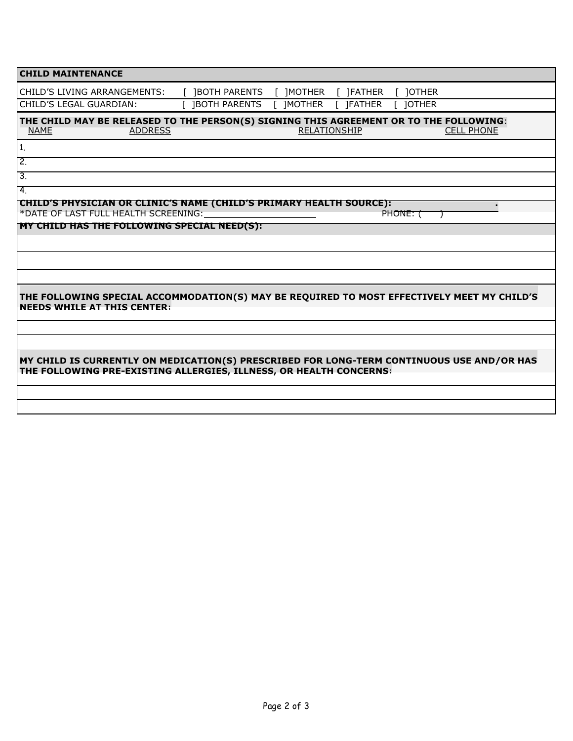| <b>CHILD MAINTENANCE</b>                                                                                                                                        |                      |                               |          |  |  |
|-----------------------------------------------------------------------------------------------------------------------------------------------------------------|----------------------|-------------------------------|----------|--|--|
| CHILD'S LIVING ARRANGEMENTS:                                                                                                                                    | [ ]BOTH PARENTS      | [ ]MOTHER<br>$\lceil$ ]FATHER | [ ]OTHER |  |  |
| CHILD'S LEGAL GUARDIAN:                                                                                                                                         | <b>IBOTH PARENTS</b> | [ 1MOTHER<br><b>IFATHER</b>   | 10THER   |  |  |
| THE CHILD MAY BE RELEASED TO THE PERSON(S) SIGNING THIS AGREEMENT OR TO THE FOLLOWING:<br>RELATIONSHIP<br><b>NAME</b><br><b>ADDRESS</b><br><b>CELL PHONE</b>    |                      |                               |          |  |  |
| 1.                                                                                                                                                              |                      |                               |          |  |  |
| $\overline{2}$ .                                                                                                                                                |                      |                               |          |  |  |
| $\overline{3}$ .                                                                                                                                                |                      |                               |          |  |  |
| 4.                                                                                                                                                              |                      |                               |          |  |  |
| <b>CHILD'S PHYSICIAN OR CLINIC'S NAME (CHILD'S PRIMARY HEALTH SOURCE):</b><br>*DATE OF LAST FULL HEALTH SCREENING:                                              |                      |                               | PHONE: ( |  |  |
| <b>MY CHILD HAS THE FOLLOWING SPECIAL NEED(S):</b>                                                                                                              |                      |                               |          |  |  |
|                                                                                                                                                                 |                      |                               |          |  |  |
|                                                                                                                                                                 |                      |                               |          |  |  |
|                                                                                                                                                                 |                      |                               |          |  |  |
| THE FOLLOWING SPECIAL ACCOMMODATION(S) MAY BE REQUIRED TO MOST EFFECTIVELY MEET MY CHILD'S<br><b>NEEDS WHILE AT THIS CENTER:</b>                                |                      |                               |          |  |  |
|                                                                                                                                                                 |                      |                               |          |  |  |
|                                                                                                                                                                 |                      |                               |          |  |  |
| MY CHILD IS CURRENTLY ON MEDICATION(S) PRESCRIBED FOR LONG-TERM CONTINUOUS USE AND/OR HAS<br>THE FOLLOWING PRE-EXISTING ALLERGIES, ILLNESS, OR HEALTH CONCERNS: |                      |                               |          |  |  |
|                                                                                                                                                                 |                      |                               |          |  |  |
|                                                                                                                                                                 |                      |                               |          |  |  |
|                                                                                                                                                                 |                      |                               |          |  |  |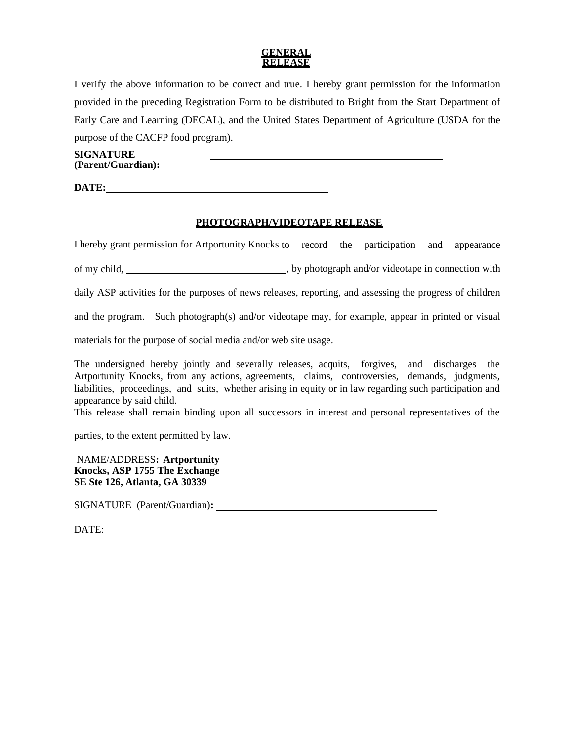#### **GENERAL RELEASE**

I verify the above information to be correct and true. I hereby grant permission for the information provided in the preceding Registration Form to be distributed to Bright from the Start Department of Early Care and Learning (DECAL), and the United States Department of Agriculture (USDA for the purpose of the CACFP food program).

**SIGNATURE (Parent/Guardian):**

**DATE:**

## **PHOTOGRAPH/VIDEOTAPE RELEASE**

I hereby grant permission for Artportunity Knocks to record the participation and appearance

of my child,  $\qquad \qquad$ , by photograph and/or videotape in connection with

daily ASP activities for the purposes of news releases, reporting, and assessing the progress of children

and the program. Such photograph(s) and/or videotape may, for example, appear in printed or visual

materials for the purpose of social media and/or web site usage.

The undersigned hereby jointly and severally releases, acquits, forgives, and discharges the Artportunity Knocks, from any actions, agreements, claims, controversies, demands, judgments, liabilities, proceedings, and suits, whether arising in equity or in law regarding such participation and appearance by said child.

This release shall remain binding upon all successors in interest and personal representatives of the

parties, to the extent permitted by law.

NAME/ADDRESS**: Artportunity Knocks, ASP 1755 The Exchange SE Ste 126, Atlanta, GA 30339**

SIGNATURE (Parent/Guardian)**:**

DATE: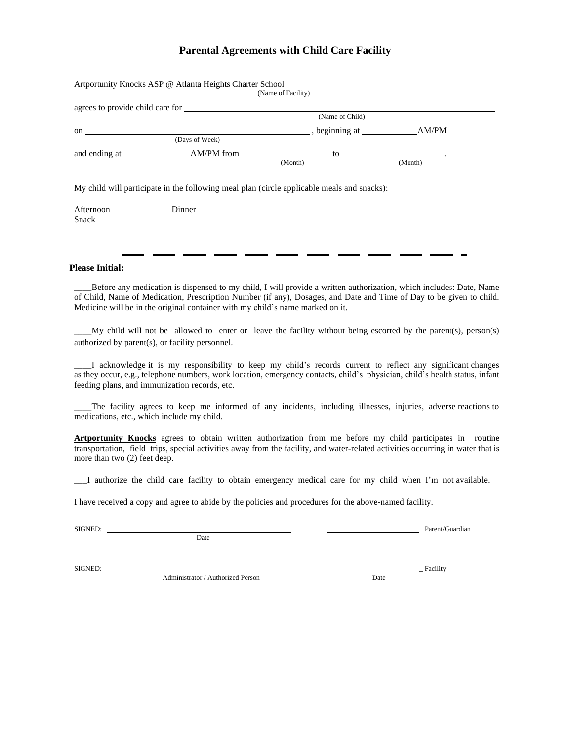# **Parental Agreements with Child Care Facility**

| Artportunity Knocks ASP @ Atlanta Heights Charter School<br>(Name of Facility)             |                |                |         |  |  |  |
|--------------------------------------------------------------------------------------------|----------------|----------------|---------|--|--|--|
| agrees to provide child care for<br>(Name of Child)                                        |                |                |         |  |  |  |
| on                                                                                         | (Days of Week) | , beginning at | AM/PM   |  |  |  |
|                                                                                            |                | (Month)        | (Month) |  |  |  |
| My child will participate in the following meal plan (circle applicable meals and snacks): |                |                |         |  |  |  |
| Afternoon<br>Snack                                                                         | Dinner         |                |         |  |  |  |

#### **Please Initial:**

\_\_\_\_Before any medication is dispensed to my child, I will provide a written authorization, which includes: Date, Name of Child, Name of Medication, Prescription Number (if any), Dosages, and Date and Time of Day to be given to child. Medicine will be in the original container with my child's name marked on it.

 $My$  child will not be allowed to enter or leave the facility without being escorted by the parent(s), person(s) authorized by parent(s), or facility personnel.

\_\_\_\_I acknowledge it is my responsibility to keep my child's records current to reflect any significant changes as they occur, e.g., telephone numbers, work location, emergency contacts, child's physician, child's health status, infant feeding plans, and immunization records, etc.

\_\_\_\_The facility agrees to keep me informed of any incidents, including illnesses, injuries, adverse reactions to medications, etc., which include my child.

**Artportunity Knocks** agrees to obtain written authorization from me before my child participates in routine transportation, field trips, special activities away from the facility, and water-related activities occurring in water that is more than two (2) feet deep.

\_\_\_I authorize the child care facility to obtain emergency medical care for my child when I'm not available.

I have received a copy and agree to abide by the policies and procedures for the above-named facility.

Date

SIGNED: Parent/Guardian

SIGNED: Facility and the state of the state of the state of the state of the state of the state of the state of the state of the state of the state of the state of the state of the state of the state of the state of the st

Administrator / Authorized Person Date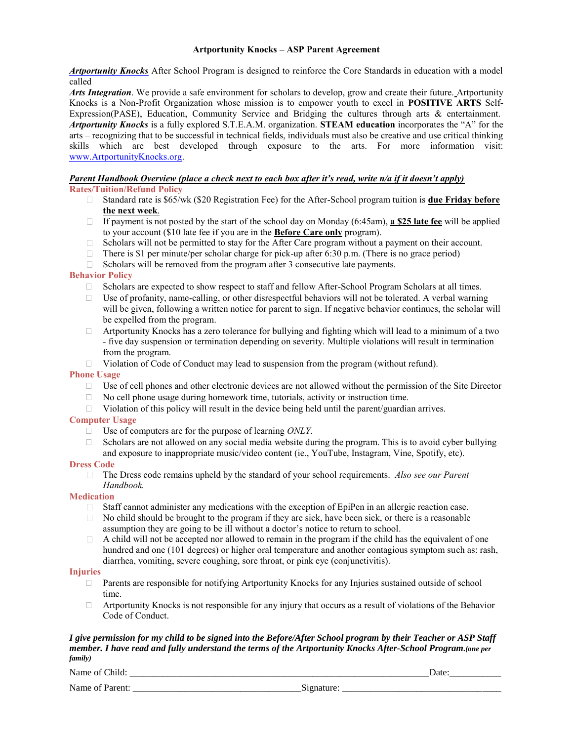#### **Artportunity Knocks – ASP Parent Agreement**

*Artportunity Knocks* After School Program is designed to reinforce the Core Standards in education with a model called

*Arts Integration*. We provide a safe environment for scholars to develop, grow and create their future. Artportunity Knocks is a Non-Profit Organization whose mission is to empower youth to excel in **POSITIVE ARTS** Self-Expression(PASE), Education, Community Service and Bridging the cultures through arts & entertainment. *Artportunity Knocks* is a fully explored S.T.E.A.M. organization. **STEAM education** incorporates the "A" for the arts – recognizing that to be successful in technical fields, individuals must also be creative and use critical thinking skills which are best developed through exposure to the arts. For more information visit: [www.ArtportunityKnocks.org.](http://www.artportunityknocks.org/)

# *Parent Handbook Overview (place a check next to each box after it's read, write n/a if it doesn't apply)*

- **Rates/Tuition/Refund Policy**
	- Standard rate is \$65/wk (\$20 Registration Fee) for the After-School program tuition is **due Friday before the next week**.
	- If payment is not posted by the start of the school day on Monday (6:45am), **a \$25 late fee** will be applied to your account (\$10 late fee if you are in the **Before Care only** program).
	- $\Box$  Scholars will not be permitted to stay for the After Care program without a payment on their account.
	- There is \$1 per minute/per scholar charge for pick-up after 6:30 p.m. (There is no grace period)
	- $\Box$  Scholars will be removed from the program after 3 consecutive late payments.

#### **Behavior Policy**

- $\Box$  Scholars are expected to show respect to staff and fellow After-School Program Scholars at all times.
- $\Box$  Use of profanity, name-calling, or other disrespectful behaviors will not be tolerated. A verbal warning will be given, following a written notice for parent to sign. If negative behavior continues, the scholar will be expelled from the program.
- $\Box$  Artportunity Knocks has a zero tolerance for bullying and fighting which will lead to a minimum of a two - five day suspension or termination depending on severity. Multiple violations will result in termination from the program.
- $\Box$  Violation of Code of Conduct may lead to suspension from the program (without refund).

#### **Phone Usage**

- $\Box$  Use of cell phones and other electronic devices are not allowed without the permission of the Site Director
- $\Box$  No cell phone usage during homework time, tutorials, activity or instruction time.
- $\Box$  Violation of this policy will result in the device being held until the parent/guardian arrives.

#### **Computer Usage**

- Use of computers are for the purpose of learning *ONLY*.
- $\Box$  Scholars are not allowed on any social media website during the program. This is to avoid cyber bullying and exposure to inappropriate music/video content (ie., YouTube, Instagram, Vine, Spotify, etc).

#### **Dress Code**

The Dress code remains upheld by the standard of your school requirements. *Also see our Parent Handbook.*

#### **Medication**

- Staff cannot administer any medications with the exception of EpiPen in an allergic reaction case.  $\Box$
- $\Box$  No child should be brought to the program if they are sick, have been sick, or there is a reasonable assumption they are going to be ill without a doctor's notice to return to school.
- $\Box$ A child will not be accepted nor allowed to remain in the program if the child has the equivalent of one hundred and one (101 degrees) or higher oral temperature and another contagious symptom such as: rash, diarrhea, vomiting, severe coughing, sore throat, or pink eye (conjunctivitis).

#### **Injuries**

- $\Box$  Parents are responsible for notifying Artportunity Knocks for any Injuries sustained outside of school time.
- $\Box$  Artportunity Knocks is not responsible for any injury that occurs as a result of violations of the Behavior Code of Conduct.

#### *I give permission for my child to be signed into the Before/After School program by their Teacher or ASP Staff member. I have read and fully understand the terms of the Artportunity Knocks After-School Program.(one per family)*

Name of Child: \_\_\_\_\_\_\_\_\_\_\_\_\_\_\_\_\_\_\_\_\_\_\_\_\_\_\_\_\_\_\_\_\_\_\_\_\_\_\_\_\_\_\_\_\_\_\_\_\_\_\_\_\_\_\_\_\_\_\_\_\_\_\_\_Date:\_\_\_\_\_\_\_\_\_\_\_

Name of Parent: Signature: